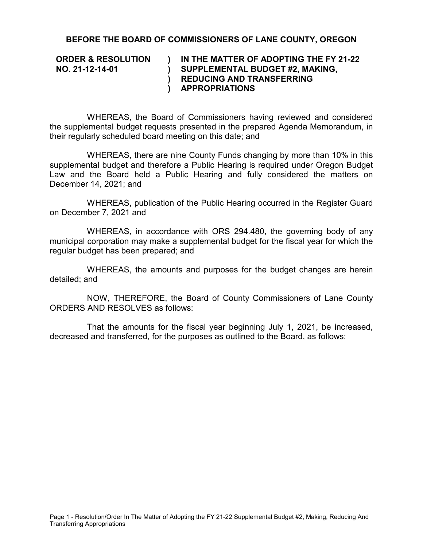## **BEFORE THE BOARD OF COMMISSIONERS OF LANE COUNTY, OREGON**

**ORDER & RESOLUTION NO. 21-12-14-01**

## **) ) ) REDUCING AND TRANSFERRING ) IN THE MATTER OF ADOPTING THE FY 21-22 SUPPLEMENTAL BUDGET #2, MAKING, APPROPRIATIONS**

WHEREAS, the Board of Commissioners having reviewed and considered the supplemental budget requests presented in the prepared Agenda Memorandum, in their regularly scheduled board meeting on this date; and

WHEREAS, there are nine County Funds changing by more than 10% in this supplemental budget and therefore a Public Hearing is required under Oregon Budget Law and the Board held a Public Hearing and fully considered the matters on December 14, 2021; and

WHEREAS, publication of the Public Hearing occurred in the Register Guard on December 7, 2021 and

WHEREAS, in accordance with ORS 294.480, the governing body of any municipal corporation may make a supplemental budget for the fiscal year for which the regular budget has been prepared; and

WHEREAS, the amounts and purposes for the budget changes are herein detailed; and

NOW, THEREFORE, the Board of County Commissioners of Lane County ORDERS AND RESOLVES as follows:

That the amounts for the fiscal year beginning July 1, 2021, be increased, decreased and transferred, for the purposes as outlined to the Board, as follows: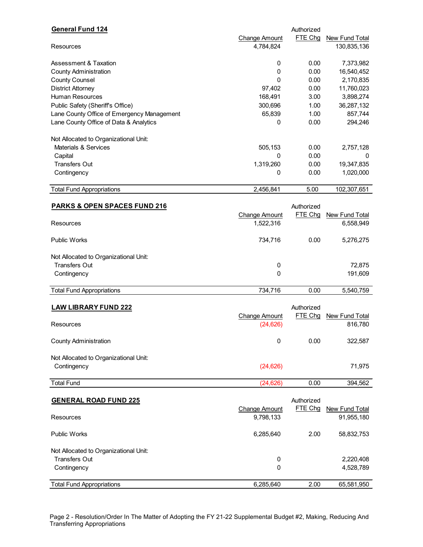| <b>General Fund 124</b>                    |                      | Authorized |                |
|--------------------------------------------|----------------------|------------|----------------|
|                                            | <b>Change Amount</b> | FTE Chg    | New Fund Total |
| Resources                                  | 4,784,824            |            | 130,835,136    |
| <b>Assessment &amp; Taxation</b>           | 0                    | 0.00       | 7,373,982      |
| <b>County Administration</b>               | 0                    | 0.00       | 16,540,452     |
| <b>County Counsel</b>                      | 0                    | 0.00       | 2,170,835      |
| <b>District Attorney</b>                   | 97,402               | 0.00       | 11,760,023     |
| <b>Human Resources</b>                     | 168,491              | 3.00       | 3,898,274      |
| Public Safety (Sheriff's Office)           | 300,696              | 1.00       | 36,287,132     |
| Lane County Office of Emergency Management | 65,839               | 1.00       | 857,744        |
| Lane County Office of Data & Analytics     | $\mathbf 0$          | 0.00       | 294,246        |
|                                            |                      |            |                |
| Not Allocated to Organizational Unit:      |                      |            |                |
| Materials & Services                       | 505,153              | 0.00       | 2,757,128      |
| Capital                                    | 0                    | 0.00       | 0              |
| <b>Transfers Out</b>                       | 1,319,260            | 0.00       | 19,347,835     |
| Contingency                                | 0                    | 0.00       | 1,020,000      |
|                                            |                      |            |                |
| <b>Total Fund Appropriations</b>           | 2,456,841            | 5.00       | 102,307,651    |
| <b>PARKS &amp; OPEN SPACES FUND 216</b>    |                      | Authorized |                |
|                                            |                      |            |                |
|                                            | <b>Change Amount</b> | FTE Chg    | New Fund Total |
| Resources                                  | 1,522,316            |            | 6,558,949      |
| <b>Public Works</b>                        | 734,716              | 0.00       | 5,276,275      |
| Not Allocated to Organizational Unit:      |                      |            |                |
| <b>Transfers Out</b>                       | 0                    |            | 72,875         |
| Contingency                                | 0                    |            | 191,609        |
|                                            |                      |            |                |
| <b>Total Fund Appropriations</b>           | 734,716              | 0.00       | 5,540,759      |
| <b>LAW LIBRARY FUND 222</b>                |                      | Authorized |                |
|                                            |                      | FTE Chg    | New Fund Total |
| Resources                                  | <b>Change Amount</b> |            | 816,780        |
|                                            | (24, 626)            |            |                |
| <b>County Administration</b>               | 0                    | 0.00       | 322,587        |
|                                            |                      |            |                |
| Not Allocated to Organizational Unit:      |                      |            |                |
| Contingency                                | (24, 626)            |            | 71,975         |
| <b>Total Fund</b>                          | (24, 626)            | 0.00       | 394,562        |
|                                            |                      |            |                |
| <b>GENERAL ROAD FUND 225</b>               |                      | Authorized |                |
|                                            | Change Amount        | FTE Chg    | New Fund Total |
| Resources                                  | 9,798,133            |            | 91,955,180     |
| <b>Public Works</b>                        | 6,285,640            | 2.00       | 58,832,753     |
|                                            |                      |            |                |
| Not Allocated to Organizational Unit:      |                      |            |                |
| <b>Transfers Out</b>                       | 0                    |            | 2,220,408      |
| Contingency                                | 0                    |            | 4,528,789      |
|                                            |                      |            |                |
| <b>Total Fund Appropriations</b>           | 6,285,640            | 2.00       | 65,581,950     |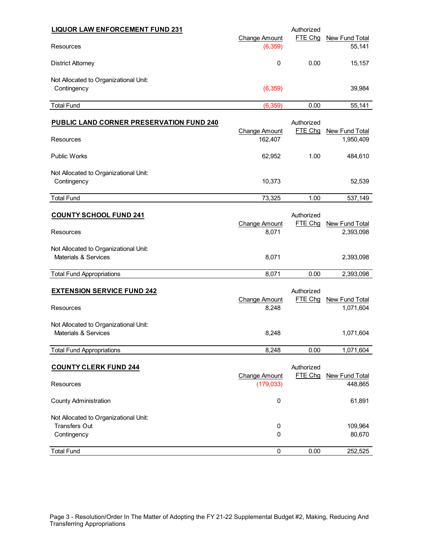| <b>LIQUOR LAW ENFORCEMENT FUND 231</b>                                       |                                    | Authorized            |                             |
|------------------------------------------------------------------------------|------------------------------------|-----------------------|-----------------------------|
| Resources                                                                    | <b>Change Amount</b><br>(6, 359)   | FTE Chg               | New Fund Total<br>55,141    |
| <b>District Attorney</b>                                                     | 0                                  | 0.00                  | 15,157                      |
| Not Allocated to Organizational Unit:<br>Contingency                         | (6, 359)                           |                       | 39,984                      |
| <b>Total Fund</b>                                                            | (6, 359)                           | 0.00                  | 55,141                      |
| <b>PUBLIC LAND CORNER PRESERVATION FUND 240</b>                              | <b>Change Amount</b>               | Authorized<br>FTE Chg | New Fund Total              |
| Resources                                                                    | 162,407                            |                       | 1,950,409                   |
| <b>Public Works</b>                                                          | 62,952                             | 1.00                  | 484,610                     |
| Not Allocated to Organizational Unit:<br>Contingency                         | 10,373                             |                       | 52,539                      |
| <b>Total Fund</b>                                                            | 73,325                             | 1.00                  | 537,149                     |
| <b>COUNTY SCHOOL FUND 241</b><br>Resources                                   | <b>Change Amount</b><br>8,071      | Authorized<br>FTE Chg | New Fund Total<br>2,393,098 |
| Not Allocated to Organizational Unit:<br>Materials & Services                | 8,071                              |                       | 2,393,098                   |
| <b>Total Fund Appropriations</b>                                             | 8,071                              | 0.00                  | 2,393,098                   |
| <b>EXTENSION SERVICE FUND 242</b><br>Resources                               | <b>Change Amount</b><br>8,248      | Authorized<br>FTE Chg | New Fund Total<br>1,071,604 |
| Not Allocated to Organizational Unit:<br>Materials & Services                | 8,248                              |                       | 1,071,604                   |
| <b>Total Fund Appropriations</b>                                             | 8,248                              | 0.00                  | 1,071,604                   |
| <b>COUNTY CLERK FUND 244</b><br>Resources                                    | <b>Change Amount</b><br>(179, 033) | Authorized<br>FTE Chg | New Fund Total<br>448,865   |
| <b>County Administration</b>                                                 | $\pmb{0}$                          |                       | 61,891                      |
| Not Allocated to Organizational Unit:<br><b>Transfers Out</b><br>Contingency | $\pmb{0}$<br>0                     |                       | 109,964<br>80,670           |
| <b>Total Fund</b>                                                            | $\pmb{0}$                          | 0.00                  | 252,525                     |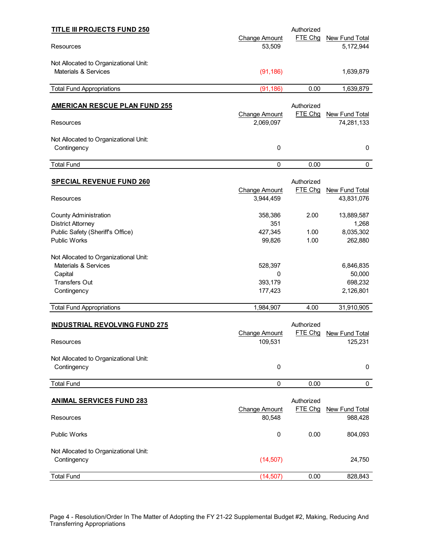| <b>TITLE III PROJECTS FUND 250</b>                                                                                  |                                     | Authorized            |                                             |
|---------------------------------------------------------------------------------------------------------------------|-------------------------------------|-----------------------|---------------------------------------------|
| <b>Resources</b>                                                                                                    | <b>Change Amount</b><br>53,509      | FTE Chg               | <b>New Fund Total</b><br>5,172,944          |
| Not Allocated to Organizational Unit:<br>Materials & Services                                                       | (91, 186)                           |                       | 1,639,879                                   |
| <b>Total Fund Appropriations</b>                                                                                    | (91, 186)                           | 0.00                  | 1,639,879                                   |
| <b>AMERICAN RESCUE PLAN FUND 255</b>                                                                                |                                     | Authorized            |                                             |
| Resources                                                                                                           | Change Amount<br>2,069,097          | FTE Chg               | New Fund Total<br>74,281,133                |
| Not Allocated to Organizational Unit:<br>Contingency                                                                | 0                                   |                       | 0                                           |
| <b>Total Fund</b>                                                                                                   | 0                                   | 0.00                  | 0                                           |
| <b>SPECIAL REVENUE FUND 260</b><br>Resources                                                                        | <b>Change Amount</b><br>3,944,459   | Authorized<br>FTE Chg | New Fund Total<br>43,831,076                |
| <b>County Administration</b><br><b>District Attorney</b><br>Public Safety (Sheriff's Office)<br><b>Public Works</b> | 358,386<br>351<br>427,345<br>99,826 | 2.00<br>1.00<br>1.00  | 13,889,587<br>1,268<br>8,035,302<br>262,880 |
| Not Allocated to Organizational Unit:<br>Materials & Services<br>Capital<br><b>Transfers Out</b><br>Contingency     | 528,397<br>0<br>393,179<br>177,423  |                       | 6,846,835<br>50,000<br>698,232<br>2,126,801 |
| <b>Total Fund Appropriations</b>                                                                                    | 1,984,907                           | 4.00                  | 31,910,905                                  |
| <b>INDUSTRIAL REVOLVING FUND 275</b><br>Resources                                                                   | <b>Change Amount</b><br>109,531     | Authorized            | FTE Chg New Fund Total<br>125,231           |
| Not Allocated to Organizational Unit:<br>Contingency                                                                | 0                                   |                       | 0                                           |
| <b>Total Fund</b>                                                                                                   | 0                                   | 0.00                  | 0                                           |
| <b>ANIMAL SERVICES FUND 283</b>                                                                                     | <b>Change Amount</b>                | Authorized<br>FTE Chg | <b>New Fund Total</b>                       |
| Resources                                                                                                           | 80,548                              |                       | 988,428                                     |
| <b>Public Works</b>                                                                                                 | $\pmb{0}$                           | 0.00                  | 804,093                                     |
| Not Allocated to Organizational Unit:<br>Contingency                                                                | (14, 507)                           |                       | 24,750                                      |
| <b>Total Fund</b>                                                                                                   | (14, 507)                           | 0.00                  | 828,843                                     |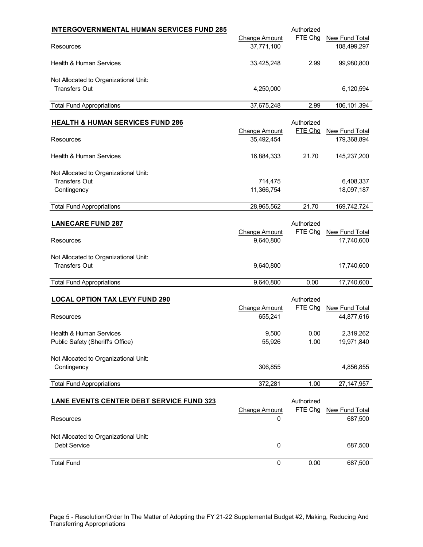| <b>INTERGOVERNMENTAL HUMAN SERVICES FUND 285</b>                             | <b>Change Amount</b>               | Authorized<br>FTE Chg | <b>New Fund Total</b>               |
|------------------------------------------------------------------------------|------------------------------------|-----------------------|-------------------------------------|
| Resources                                                                    | 37,771,100                         |                       | 108,499,297                         |
| <b>Health &amp; Human Services</b>                                           | 33,425,248                         | 2.99                  | 99,980,800                          |
| Not Allocated to Organizational Unit:<br><b>Transfers Out</b>                | 4,250,000                          |                       | 6,120,594                           |
| <b>Total Fund Appropriations</b>                                             | 37,675,248                         | 2.99                  | 106, 101, 394                       |
| <b>HEALTH &amp; HUMAN SERVICES FUND 286</b>                                  |                                    | Authorized            |                                     |
| Resources                                                                    | <b>Change Amount</b><br>35,492,454 | FTE Chg               | New Fund Total<br>179,368,894       |
| <b>Health &amp; Human Services</b>                                           | 16,884,333                         | 21.70                 | 145,237,200                         |
| Not Allocated to Organizational Unit:<br><b>Transfers Out</b><br>Contingency | 714,475<br>11,366,754              |                       | 6,408,337<br>18,097,187             |
| <b>Total Fund Appropriations</b>                                             | 28,965,562                         | 21.70                 | 169,742,724                         |
| <b>LANECARE FUND 287</b><br>Resources                                        | <b>Change Amount</b><br>9,640,800  | Authorized<br>FTE Chg | New Fund Total<br>17,740,600        |
| Not Allocated to Organizational Unit:<br><b>Transfers Out</b>                | 9,640,800                          |                       | 17,740,600                          |
| <b>Total Fund Appropriations</b>                                             | 9,640,800                          | 0.00                  | 17,740,600                          |
| <b>LOCAL OPTION TAX LEVY FUND 290</b><br>Resources                           | <b>Change Amount</b><br>655,241    | Authorized<br>FTE Chg | <b>New Fund Total</b><br>44,877,616 |
| Health & Human Services<br>Public Safety (Sheriff's Office)                  | 9,500<br>55,926                    | 0.00<br>1.00          | 2,319,262<br>19,971,840             |
| Not Allocated to Organizational Unit:<br>Contingency                         | 306,855                            |                       | 4,856,855                           |
| <b>Total Fund Appropriations</b>                                             | 372,281                            | 1.00                  | 27, 147, 957                        |
| <b>LANE EVENTS CENTER DEBT SERVICE FUND 323</b><br>Resources                 | <b>Change Amount</b><br>0          | Authorized<br>FTE Chg | New Fund Total<br>687,500           |
| Not Allocated to Organizational Unit:<br>Debt Service                        | $\pmb{0}$                          |                       | 687,500                             |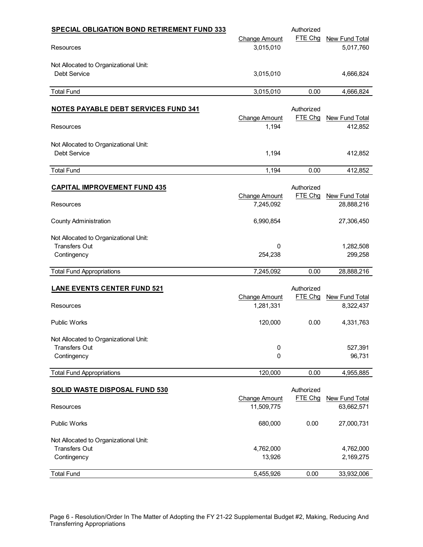| <b>SPECIAL OBLIGATION BOND RETIREMENT FUND 333</b>            |                      | Authorized            |                |
|---------------------------------------------------------------|----------------------|-----------------------|----------------|
|                                                               | Change Amount        | FTE Chg               | New Fund Total |
| Resources                                                     | 3,015,010            |                       | 5,017,760      |
|                                                               |                      |                       |                |
| Not Allocated to Organizational Unit:                         |                      |                       |                |
| Debt Service                                                  | 3,015,010            |                       | 4,666,824      |
| <b>Total Fund</b>                                             | 3,015,010            | 0.00                  | 4,666,824      |
|                                                               |                      |                       |                |
| <b>NOTES PAYABLE DEBT SERVICES FUND 341</b>                   |                      | Authorized            |                |
|                                                               | Change Amount        | FTE Chg               | New Fund Total |
| Resources                                                     | 1,194                |                       | 412,852        |
| Not Allocated to Organizational Unit:                         |                      |                       |                |
| Debt Service                                                  | 1,194                |                       | 412,852        |
|                                                               |                      |                       |                |
| <b>Total Fund</b>                                             | 1,194                | 0.00                  | 412,852        |
|                                                               |                      |                       |                |
| <b>CAPITAL IMPROVEMENT FUND 435</b>                           | <b>Change Amount</b> | Authorized<br>FTE Chg | New Fund Total |
| Resources                                                     | 7,245,092            |                       | 28,888,216     |
|                                                               |                      |                       |                |
| <b>County Administration</b>                                  | 6,990,854            |                       | 27,306,450     |
|                                                               |                      |                       |                |
| Not Allocated to Organizational Unit:<br><b>Transfers Out</b> | 0                    |                       | 1,282,508      |
| Contingency                                                   | 254,238              |                       | 299,258        |
|                                                               |                      |                       |                |
| <b>Total Fund Appropriations</b>                              | 7,245,092            | 0.00                  | 28,888,216     |
|                                                               |                      | Authorized            |                |
| <b>LANE EVENTS CENTER FUND 521</b>                            | <b>Change Amount</b> | FTE Chg               | New Fund Total |
| Resources                                                     | 1,281,331            |                       | 8,322,437      |
|                                                               |                      |                       |                |
| <b>Public Works</b>                                           | 120,000              | 0.00                  | 4,331,763      |
|                                                               |                      |                       |                |
| Not Allocated to Organizational Unit:<br><b>Transfers Out</b> |                      |                       | 527,391        |
| Contingency                                                   | 0<br>0               |                       | 96,731         |
|                                                               |                      |                       |                |
| <b>Total Fund Appropriations</b>                              | 120,000              | 0.00                  | 4,955,885      |
|                                                               |                      |                       |                |
| <b>SOLID WASTE DISPOSAL FUND 530</b>                          | <b>Change Amount</b> | Authorized<br>FTE Chg | New Fund Total |
| Resources                                                     | 11,509,775           |                       | 63,662,571     |
|                                                               |                      |                       |                |
| <b>Public Works</b>                                           | 680,000              | 0.00                  | 27,000,731     |
|                                                               |                      |                       |                |
| Not Allocated to Organizational Unit:<br><b>Transfers Out</b> | 4,762,000            |                       | 4,762,000      |
| Contingency                                                   | 13,926               |                       | 2,169,275      |
|                                                               |                      |                       |                |
| <b>Total Fund</b>                                             | 5,455,926            | 0.00                  | 33,932,006     |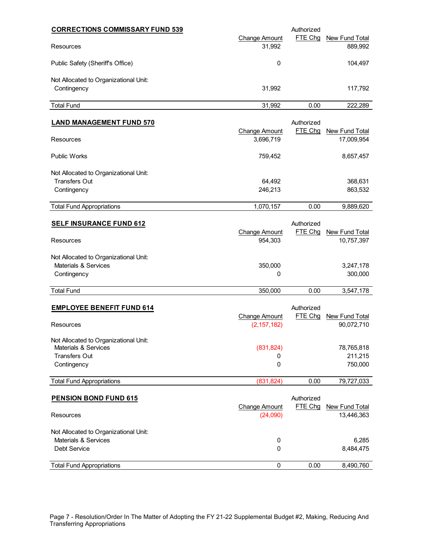| <b>CORRECTIONS COMMISSARY FUND 539</b>                                                                          |                                       | Authorized            |                                  |
|-----------------------------------------------------------------------------------------------------------------|---------------------------------------|-----------------------|----------------------------------|
| Resources                                                                                                       | <b>Change Amount</b><br>31,992        | FTE Chg               | New Fund Total<br>889,992        |
| Public Safety (Sheriff's Office)                                                                                | 0                                     |                       | 104,497                          |
| Not Allocated to Organizational Unit:<br>Contingency                                                            | 31,992                                |                       | 117,792                          |
| <b>Total Fund</b>                                                                                               | 31,992                                | 0.00                  | 222,289                          |
| <b>LAND MANAGEMENT FUND 570</b>                                                                                 |                                       | Authorized<br>FTE Chg |                                  |
| Resources                                                                                                       | <b>Change Amount</b><br>3,696,719     |                       | New Fund Total<br>17,009,954     |
| <b>Public Works</b>                                                                                             | 759,452                               |                       | 8,657,457                        |
| Not Allocated to Organizational Unit:<br><b>Transfers Out</b><br>Contingency                                    | 64,492<br>246,213                     |                       | 368,631<br>863,532               |
| <b>Total Fund Appropriations</b>                                                                                | 1,070,157                             | 0.00                  | 9,889,620                        |
| <b>SELF INSURANCE FUND 612</b><br>Resources                                                                     | <b>Change Amount</b><br>954,303       | Authorized<br>FTE Chg | New Fund Total<br>10,757,397     |
| Not Allocated to Organizational Unit:<br>Materials & Services<br>Contingency                                    | 350,000<br>0                          |                       | 3,247,178<br>300,000             |
| <b>Total Fund</b>                                                                                               | 350,000                               | 0.00                  | 3,547,178                        |
| <b>EMPLOYEE BENEFIT FUND 614</b><br>Resources                                                                   | <b>Change Amount</b><br>(2, 157, 182) | Authorized<br>FTE Chg | New Fund Total<br>90,072,710     |
| Not Allocated to Organizational Unit:<br><b>Materials &amp; Services</b><br><b>Transfers Out</b><br>Contingency | (831, 824)<br>0<br>0                  |                       | 78,765,818<br>211,215<br>750,000 |
| <b>Total Fund Appropriations</b>                                                                                | (831, 824)                            | 0.00                  | 79,727,033                       |
| <b>PENSION BOND FUND 615</b><br>Resources                                                                       | <b>Change Amount</b><br>(24,090)      | Authorized<br>FTE Chg | New Fund Total<br>13,446,363     |
| Not Allocated to Organizational Unit:<br><b>Materials &amp; Services</b><br>Debt Service                        | 0<br>0                                |                       | 6,285<br>8,484,475               |
| <b>Total Fund Appropriations</b>                                                                                | 0                                     | 0.00                  | 8,490,760                        |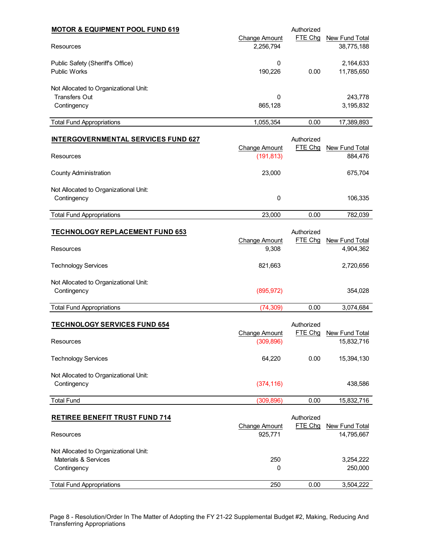| <b>MOTOR &amp; EQUIPMENT POOL FUND 619</b><br>Resources<br>Public Safety (Sheriff's Office) |               | Authorized |                                           |  |
|---------------------------------------------------------------------------------------------|---------------|------------|-------------------------------------------|--|
|                                                                                             | Change Amount | FTE Chq    | New Fund Total<br>38,775,188<br>2,164,633 |  |
|                                                                                             | 2,256,794     |            |                                           |  |
|                                                                                             | 0             |            |                                           |  |
| <b>Public Works</b>                                                                         | 190.226       | 0.00       | 11,785,650                                |  |
| Not Allocated to Organizational Unit:                                                       |               |            |                                           |  |
| <b>Transfers Out</b>                                                                        | 0             |            | 243,778                                   |  |
| Contingency                                                                                 | 865,128       |            | 3,195,832                                 |  |
| <b>Total Fund Appropriations</b>                                                            | 1,055,354     | 0.00       | 17,389,893                                |  |

| <b>INTERGOVERNMENTAL SERVICES FUND 627</b>           |                             | Authorized |                           |
|------------------------------------------------------|-----------------------------|------------|---------------------------|
| Resources                                            | Change Amount<br>(191, 813) | FTE Chg    | New Fund Total<br>884.476 |
| <b>County Administration</b>                         | 23,000                      |            | 675,704                   |
| Not Allocated to Organizational Unit:<br>Contingency | 0                           |            | 106,335                   |
| <b>Total Fund Appropriations</b>                     | 23,000                      | 0.00       | 782.039                   |

| <b>TECHNOLOGY REPLACEMENT FUND 653</b> |                      | Authorized |                |
|----------------------------------------|----------------------|------------|----------------|
|                                        | <b>Change Amount</b> | FTE Chq    | New Fund Total |
| Resources                              | 9,308                |            | 4,904,362      |
| <b>Technology Services</b>             | 821.663              |            | 2,720,656      |
| Not Allocated to Organizational Unit:  |                      |            |                |
| Contingency                            | (895, 972)           |            | 354.028        |
| <b>Total Fund Appropriations</b>       | (74,309)             | 0.00       | 3,074,684      |
|                                        |                      |            |                |

| <b>TECHNOLOGY SERVICES FUND 654</b>   |               | Authorized |                |
|---------------------------------------|---------------|------------|----------------|
|                                       | Change Amount | FTE Chq    | New Fund Total |
| <b>Resources</b>                      | (309, 896)    |            | 15,832,716     |
| <b>Technology Services</b>            | 64.220        | 0.00       | 15,394,130     |
| Not Allocated to Organizational Unit: |               |            |                |
| Contingency                           | (374, 116)    |            | 438,586        |
| <b>Total Fund</b>                     | (309, 896)    | 0.00       | 15,832,716     |

| <b>RETIREE BENEFIT TRUST FUND 714</b> |                      | Authorized |                |
|---------------------------------------|----------------------|------------|----------------|
|                                       | <b>Change Amount</b> | FTE Chq    | New Fund Total |
| <b>Resources</b>                      | 925.771              |            | 14,795,667     |
| Not Allocated to Organizational Unit: |                      |            |                |
| Materials & Services                  | 250                  |            | 3,254,222      |
| Contingency                           | 0                    |            | 250,000        |
| <b>Total Fund Appropriations</b>      | 250                  | 0.00       | 3,504,222      |